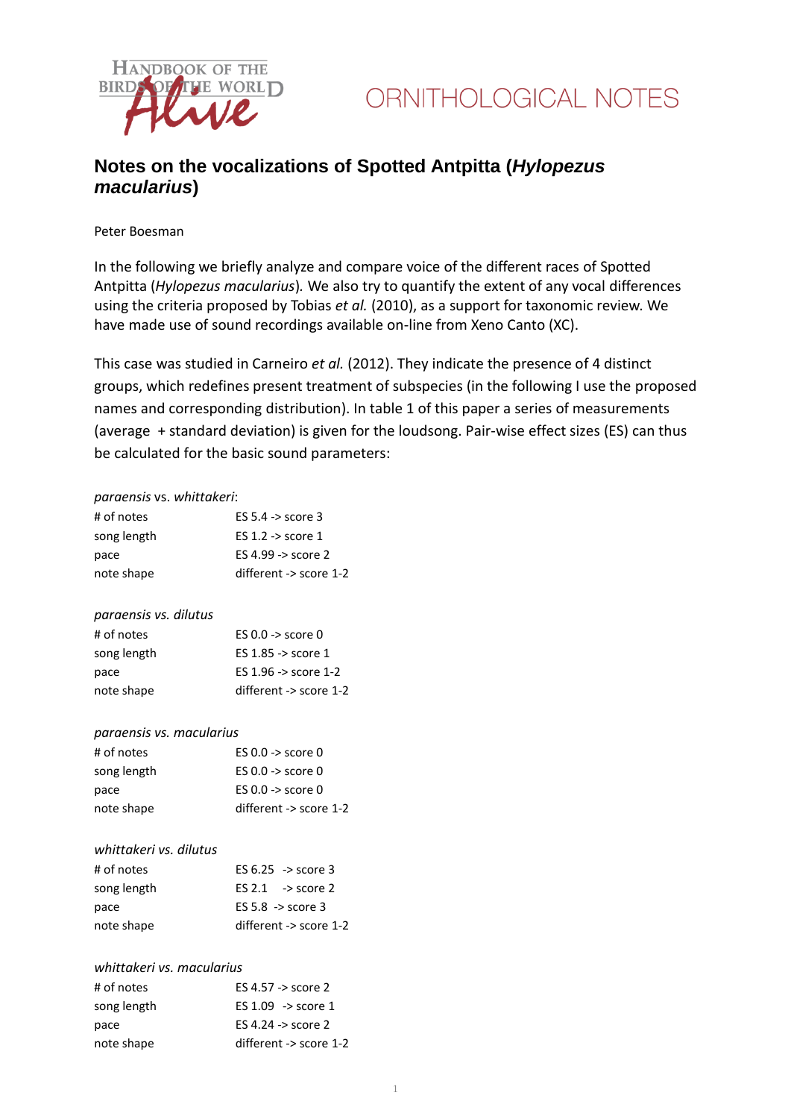

## **Notes on the vocalizations of Spotted Antpitta (***Hylopezus macularius***)**

Peter Boesman

In the following we briefly analyze and compare voice of the different races of Spotted Antpitta (*Hylopezus macularius*)*.* We also try to quantify the extent of any vocal differences using the criteria proposed by Tobias *et al.* (2010), as a support for taxonomic review. We have made use of sound recordings available on-line from Xeno Canto (XC).

This case was studied in Carneiro *et al.* (2012). They indicate the presence of 4 distinct groups, which redefines present treatment of subspecies (in the following I use the proposed names and corresponding distribution). In table 1 of this paper a series of measurements (average + standard deviation) is given for the loudsong. Pair-wise effect sizes (ES) can thus be calculated for the basic sound parameters:

#### *paraensis* vs. *whittakeri*:

| # of notes                | ES $5.4 \rightarrow$ score 3   |
|---------------------------|--------------------------------|
| song length               | ES 1.2 -> score 1              |
| pace                      | ES 4.99 -> score 2             |
| note shape                | different -> score 1-2         |
|                           |                                |
| paraensis vs. dilutus     |                                |
| # of notes                | ES $0.0 \rightarrow$ score $0$ |
| song length               | ES 1.85 -> score 1             |
| pace                      | ES 1.96 -> score 1-2           |
| note shape                | different -> score 1-2         |
|                           |                                |
| paraensis vs. macularius  |                                |
| # of notes                | ES $0.0 \rightarrow$ score $0$ |
| song length               | ES $0.0 \rightarrow$ score $0$ |
| pace                      | ES 0.0 -> score 0              |
| note shape                | different -> score 1-2         |
|                           |                                |
| whittakeri vs. dilutus    |                                |
| # of notes                | ES $6.25 \rightarrow$ score 3  |
| song length               | $ES 2.1$ -> score 2            |
| pace                      | ES 5.8 -> score 3              |
| note shape                | different -> score 1-2         |
|                           |                                |
| whittakeri vs. macularius |                                |
| # of notes                | ES 4.57 -> score 2             |
| song length               | $ES 1.09$ -> score 1           |
| pace                      | ES 4.24 -> score 2             |
| note shape                | different -> score 1-2         |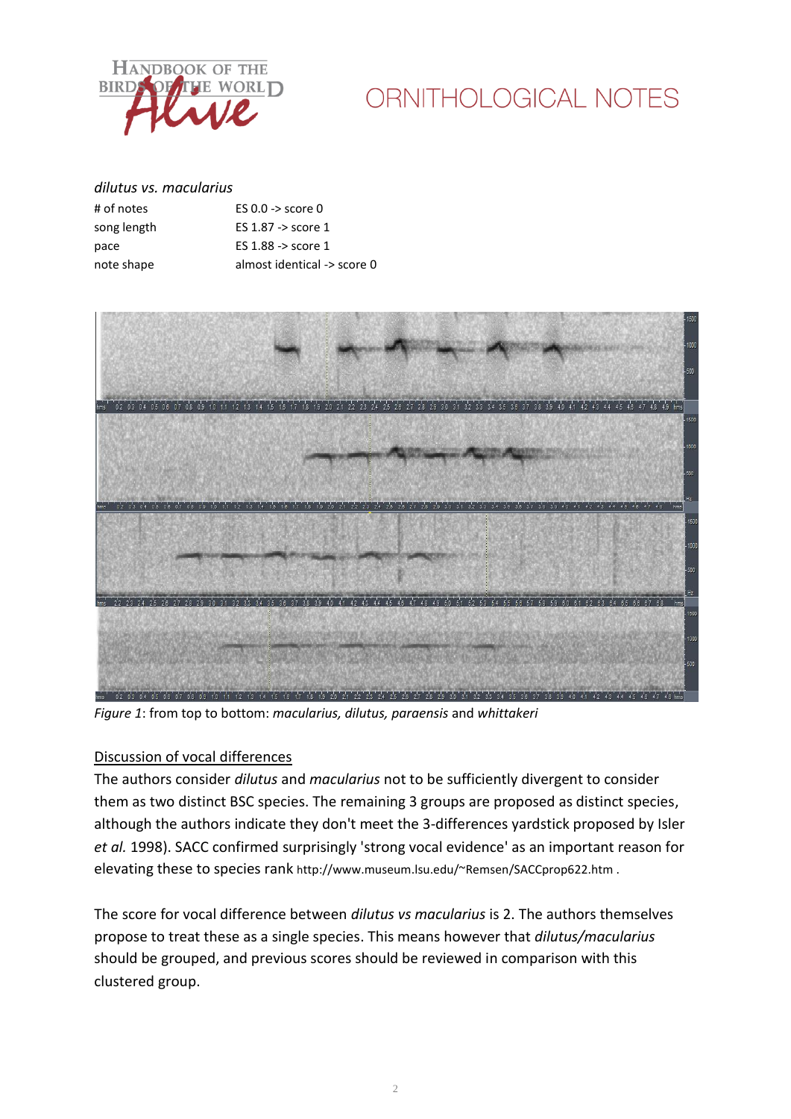

# ORNITHOLOGICAL NOTES

#### *dilutus vs. macularius*

| # of notes  | ES $0.0 \rightarrow$ score $0$  |
|-------------|---------------------------------|
| song length | ES $1.87 \rightarrow$ score $1$ |
| pace        | ES $1.88 \rightarrow$ score $1$ |
| note shape  | almost identical -> score 0     |



*Figure 1*: from top to bottom: *macularius, dilutus, paraensis* and *whittakeri*

### Discussion of vocal differences

The authors consider *dilutus* and *macularius* not to be sufficiently divergent to consider them as two distinct BSC species. The remaining 3 groups are proposed as distinct species, although the authors indicate they don't meet the 3-differences yardstick proposed by Isler *et al.* 1998). SACC confirmed surprisingly 'strong vocal evidence' as an important reason for elevating these to species rank http://www.museum.lsu.edu/~Remsen/SACCprop622.htm .

The score for vocal difference between *dilutus vs macularius* is 2. The authors themselves propose to treat these as a single species. This means however that *dilutus/macularius* should be grouped, and previous scores should be reviewed in comparison with this clustered group.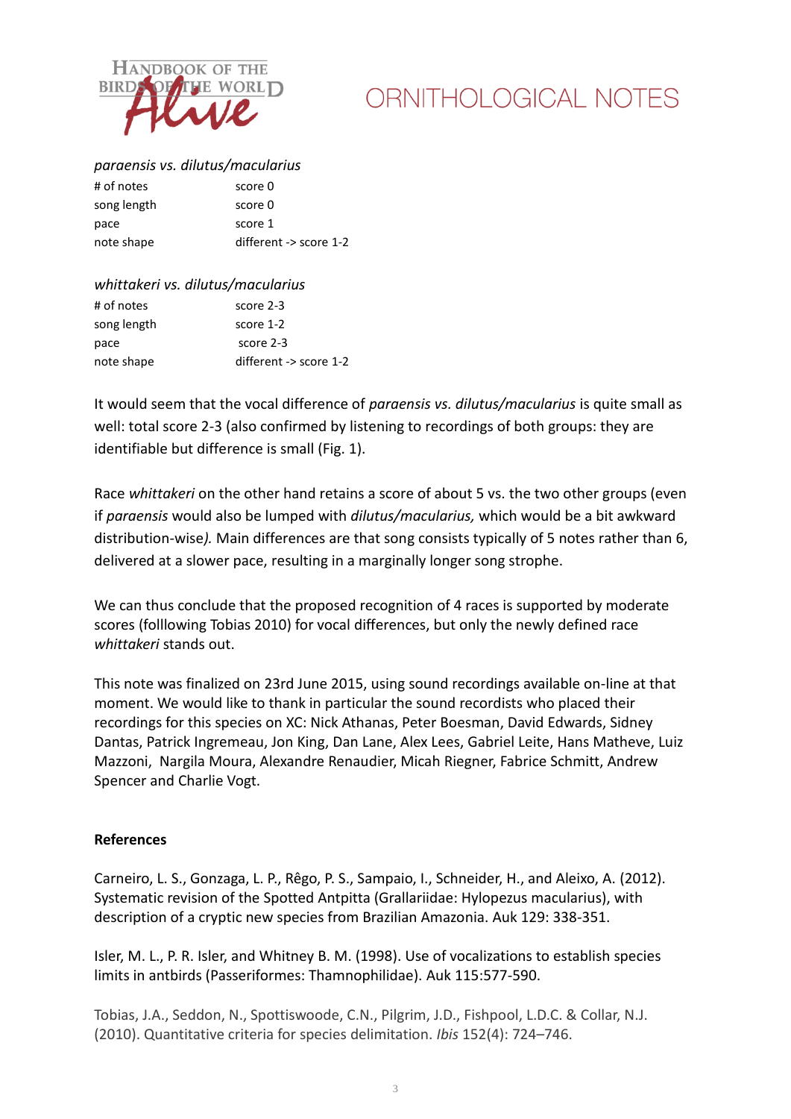

# ORNITHOLOGICAL NOTES

### *paraensis vs. dilutus/macularius*

| # of notes  | score 0                |
|-------------|------------------------|
| song length | score 0                |
| pace        | score 1                |
| note shape  | different -> score 1-2 |
|             |                        |

| whittakeri vs. dilutus/macularius |                        |  |
|-----------------------------------|------------------------|--|
| # of notes                        | score 2-3              |  |
| song length                       | score 1-2              |  |
| pace                              | score 2-3              |  |
| note shape                        | different -> score 1-2 |  |

It would seem that the vocal difference of *paraensis vs. dilutus/macularius* is quite small as well: total score 2-3 (also confirmed by listening to recordings of both groups: they are identifiable but difference is small (Fig. 1).

Race *whittakeri* on the other hand retains a score of about 5 vs. the two other groups (even if *paraensis* would also be lumped with *dilutus/macularius,* which would be a bit awkward distribution-wise*).* Main differences are that song consists typically of 5 notes rather than 6, delivered at a slower pace, resulting in a marginally longer song strophe.

We can thus conclude that the proposed recognition of 4 races is supported by moderate scores (folllowing Tobias 2010) for vocal differences, but only the newly defined race *whittakeri* stands out.

This note was finalized on 23rd June 2015, using sound recordings available on-line at that moment. We would like to thank in particular the sound recordists who placed their recordings for this species on XC: Nick Athanas, Peter Boesman, David Edwards, Sidney Dantas, Patrick Ingremeau, Jon King, Dan Lane, Alex Lees, Gabriel Leite, Hans Matheve, Luiz Mazzoni, Nargila Moura, Alexandre Renaudier, Micah Riegner, Fabrice Schmitt, Andrew Spencer and Charlie Vogt.

#### **References**

Carneiro, L. S., Gonzaga, L. P., Rêgo, P. S., Sampaio, I., Schneider, H., and Aleixo, A. (2012). Systematic revision of the Spotted Antpitta (Grallariidae: Hylopezus macularius), with description of a cryptic new species from Brazilian Amazonia. Auk 129: 338-351.

Isler, M. L., P. R. Isler, and Whitney B. M. (1998). Use of vocalizations to establish species limits in antbirds (Passeriformes: Thamnophilidae). Auk 115:577-590.

Tobias, J.A., Seddon, N., Spottiswoode, C.N., Pilgrim, J.D., Fishpool, L.D.C. & Collar, N.J. (2010). Quantitative criteria for species delimitation. *Ibis* 152(4): 724–746.